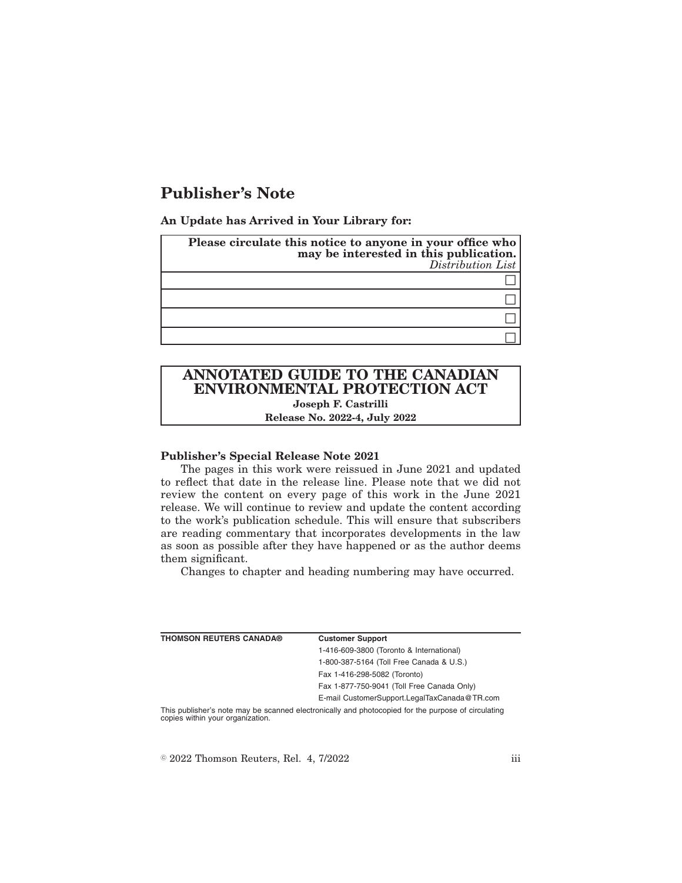# **Publisher's Note**

**An Update has Arrived in Your Library for:**

| Please circulate this notice to anyone in your office who<br>may be interested in this publication.<br>Distribution List |
|--------------------------------------------------------------------------------------------------------------------------|
|                                                                                                                          |
|                                                                                                                          |
|                                                                                                                          |
|                                                                                                                          |

# **ANNOTATED GUIDE TO THE CANADIAN ENVIRONMENTAL PROTECTION ACT Joseph F. Castrilli**

**Release No. 2022-4, July 2022**

## **Publisher's Special Release Note 2021**

The pages in this work were reissued in June 2021 and updated to reflect that date in the release line. Please note that we did not review the content on every page of this work in the June 2021 release. We will continue to review and update the content according to the work's publication schedule. This will ensure that subscribers are reading commentary that incorporates developments in the law as soon as possible after they have happened or as the author deems them significant.

Changes to chapter and heading numbering may have occurred.

| <b>THOMSON REUTERS CANADA®</b>                                                                     | <b>Customer Support</b>                      |
|----------------------------------------------------------------------------------------------------|----------------------------------------------|
|                                                                                                    | 1-416-609-3800 (Toronto & International)     |
|                                                                                                    | 1-800-387-5164 (Toll Free Canada & U.S.)     |
|                                                                                                    | Fax 1-416-298-5082 (Toronto)                 |
|                                                                                                    | Fax 1-877-750-9041 (Toll Free Canada Only)   |
|                                                                                                    | E-mail CustomerSupport.LegalTaxCanada@TR.com |
| This publisher's note may be scanned electronically and photocopied for the purpose of circulating |                                              |

copies within your organization.

 $\degree$  2022 Thomson Reuters, Rel. 4, 7/2022 iii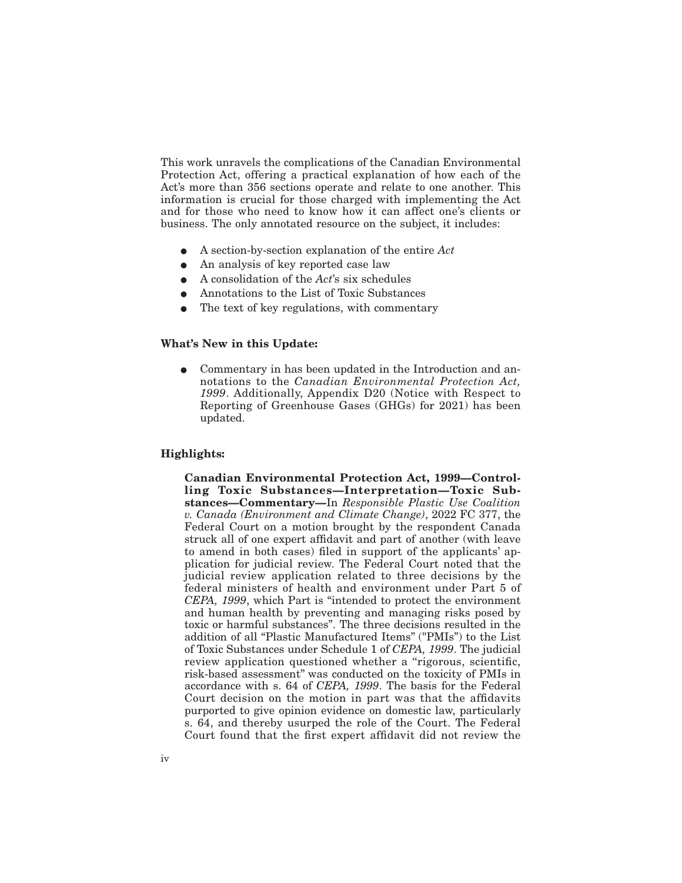This work unravels the complications of the Canadian Environmental Protection Act, offering a practical explanation of how each of the Act's more than 356 sections operate and relate to one another. This information is crucial for those charged with implementing the Act and for those who need to know how it can affect one's clients or business. The only annotated resource on the subject, it includes:

- E A section-by-section explanation of the entire *Act*
- An analysis of key reported case law
- E A consolidation of the *Act*'s six schedules
- E Annotations to the List of Toxic Substances
- $\bullet$  The text of key regulations, with commentary

#### **What's New in this Update:**

• Commentary in has been updated in the Introduction and annotations to the *Canadian Environmental Protection Act, 1999*. Additionally, Appendix D20 (Notice with Respect to Reporting of Greenhouse Gases (GHGs) for 2021) has been updated.

# **Highlights:**

**Canadian Environmental Protection Act, 1999—Controlling Toxic Substances—Interpretation—Toxic Substances—Commentary—**In *Responsible Plastic Use Coalition v. Canada (Environment and Climate Change)*, 2022 FC 377, the Federal Court on a motion brought by the respondent Canada struck all of one expert affidavit and part of another (with leave to amend in both cases) filed in support of the applicants' application for judicial review. The Federal Court noted that the judicial review application related to three decisions by the federal ministers of health and environment under Part 5 of *CEPA, 1999*, which Part is ''intended to protect the environment and human health by preventing and managing risks posed by toxic or harmful substances''. The three decisions resulted in the addition of all "Plastic Manufactured Items" ("PMIs") to the List of Toxic Substances under Schedule 1 of *CEPA, 1999*. The judicial review application questioned whether a "rigorous, scientific, risk-based assessment'' was conducted on the toxicity of PMIs in accordance with s. 64 of *CEPA, 1999*. The basis for the Federal Court decision on the motion in part was that the affidavits purported to give opinion evidence on domestic law, particularly s. 64, and thereby usurped the role of the Court. The Federal Court found that the first expert affidavit did not review the